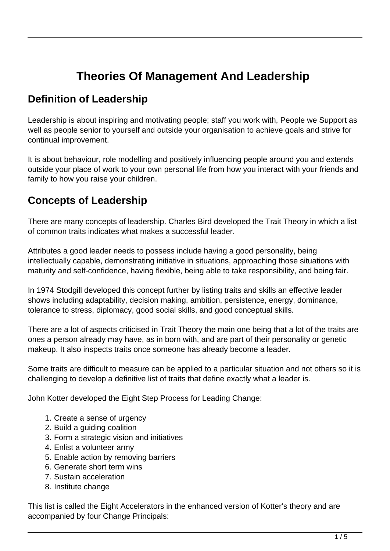## **Theories Of Management And Leadership**

## **Definition of Leadership**

Leadership is about inspiring and motivating people; staff you work with, People we Support as well as people senior to yourself and outside your organisation to achieve goals and strive for continual improvement.

It is about behaviour, role modelling and positively influencing people around you and extends outside your place of work to your own personal life from how you interact with your friends and family to how you raise your children.

## **Concepts of Leadership**

There are many concepts of leadership. Charles Bird developed the Trait Theory in which a list of common traits indicates what makes a successful leader.

Attributes a good leader needs to possess include having a good personality, being intellectually capable, demonstrating initiative in situations, approaching those situations with maturity and self-confidence, having flexible, being able to take responsibility, and being fair.

In 1974 Stodgill developed this concept further by listing traits and skills an effective leader shows including adaptability, decision making, ambition, persistence, energy, dominance, tolerance to stress, diplomacy, good social skills, and good conceptual skills.

There are a lot of aspects criticised in Trait Theory the main one being that a lot of the traits are ones a person already may have, as in born with, and are part of their personality or genetic makeup. It also inspects traits once someone has already become a leader.

Some traits are difficult to measure can be applied to a particular situation and not others so it is challenging to develop a definitive list of traits that define exactly what a leader is.

John Kotter developed the Eight Step Process for Leading Change:

- 1. Create a sense of urgency
- 2. Build a guiding coalition
- 3. Form a strategic vision and initiatives
- 4. Enlist a volunteer army
- 5. Enable action by removing barriers
- 6. Generate short term wins
- 7. Sustain acceleration
- 8. Institute change

This list is called the Eight Accelerators in the enhanced version of Kotter's theory and are accompanied by four Change Principals: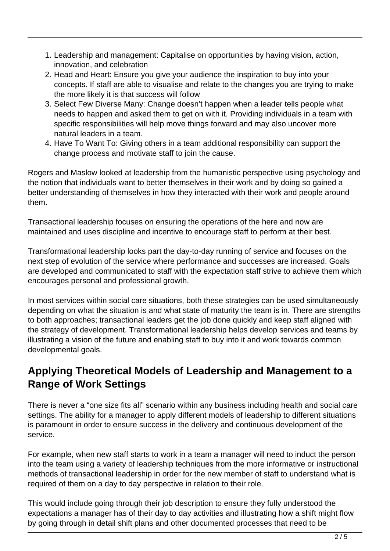- 1. Leadership and management: Capitalise on opportunities by having vision, action, innovation, and celebration
- 2. Head and Heart: Ensure you give your audience the inspiration to buy into your concepts. If staff are able to visualise and relate to the changes you are trying to make the more likely it is that success will follow
- 3. Select Few Diverse Many: Change doesn't happen when a leader tells people what needs to happen and asked them to get on with it. Providing individuals in a team with specific responsibilities will help move things forward and may also uncover more natural leaders in a team.
- 4. Have To Want To: Giving others in a team additional responsibility can support the change process and motivate staff to join the cause.

Rogers and Maslow looked at leadership from the humanistic perspective using psychology and the notion that individuals want to better themselves in their work and by doing so gained a better understanding of themselves in how they interacted with their work and people around them.

Transactional leadership focuses on ensuring the operations of the here and now are maintained and uses discipline and incentive to encourage staff to perform at their best.

Transformational leadership looks part the day-to-day running of service and focuses on the next step of evolution of the service where performance and successes are increased. Goals are developed and communicated to staff with the expectation staff strive to achieve them which encourages personal and professional growth.

In most services within social care situations, both these strategies can be used simultaneously depending on what the situation is and what state of maturity the team is in. There are strengths to both approaches; transactional leaders get the job done quickly and keep staff aligned with the strategy of development. Transformational leadership helps develop services and teams by illustrating a vision of the future and enabling staff to buy into it and work towards common developmental goals.

## **Applying Theoretical Models of Leadership and Management to a Range of Work Settings**

There is never a "one size fits all" scenario within any business including health and social care settings. The ability for a manager to apply different models of leadership to different situations is paramount in order to ensure success in the delivery and continuous development of the service.

For example, when new staff starts to work in a team a manager will need to induct the person into the team using a variety of leadership techniques from the more informative or instructional methods of transactional leadership in order for the new member of staff to understand what is required of them on a day to day perspective in relation to their role.

This would include going through their job description to ensure they fully understood the expectations a manager has of their day to day activities and illustrating how a shift might flow by going through in detail shift plans and other documented processes that need to be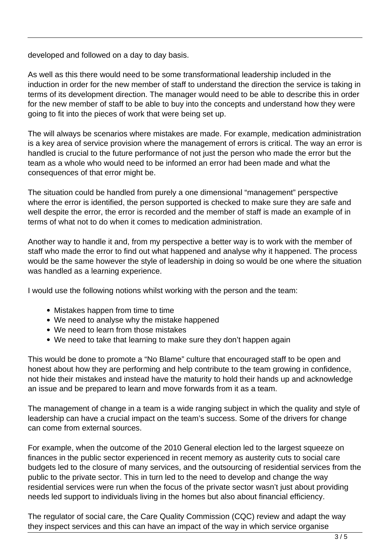developed and followed on a day to day basis.

As well as this there would need to be some transformational leadership included in the induction in order for the new member of staff to understand the direction the service is taking in terms of its development direction. The manager would need to be able to describe this in order for the new member of staff to be able to buy into the concepts and understand how they were going to fit into the pieces of work that were being set up.

The will always be scenarios where mistakes are made. For example, medication administration is a key area of service provision where the management of errors is critical. The way an error is handled is crucial to the future performance of not just the person who made the error but the team as a whole who would need to be informed an error had been made and what the consequences of that error might be.

The situation could be handled from purely a one dimensional "management" perspective where the error is identified, the person supported is checked to make sure they are safe and well despite the error, the error is recorded and the member of staff is made an example of in terms of what not to do when it comes to medication administration.

Another way to handle it and, from my perspective a better way is to work with the member of staff who made the error to find out what happened and analyse why it happened. The process would be the same however the style of leadership in doing so would be one where the situation was handled as a learning experience.

I would use the following notions whilst working with the person and the team:

- Mistakes happen from time to time
- We need to analyse why the mistake happened
- We need to learn from those mistakes
- We need to take that learning to make sure they don't happen again

This would be done to promote a "No Blame" culture that encouraged staff to be open and honest about how they are performing and help contribute to the team growing in confidence, not hide their mistakes and instead have the maturity to hold their hands up and acknowledge an issue and be prepared to learn and move forwards from it as a team.

The management of change in a team is a wide ranging subject in which the quality and style of leadership can have a crucial impact on the team's success. Some of the drivers for change can come from external sources.

For example, when the outcome of the 2010 General election led to the largest squeeze on finances in the public sector experienced in recent memory as austerity cuts to social care budgets led to the closure of many services, and the outsourcing of residential services from the public to the private sector. This in turn led to the need to develop and change the way residential services were run when the focus of the private sector wasn't just about providing needs led support to individuals living in the homes but also about financial efficiency.

The regulator of social care, the Care Quality Commission (CQC) review and adapt the way they inspect services and this can have an impact of the way in which service organise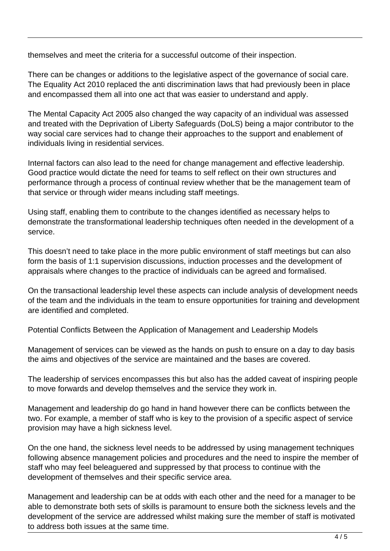themselves and meet the criteria for a successful outcome of their inspection.

There can be changes or additions to the legislative aspect of the governance of social care. The Equality Act 2010 replaced the anti discrimination laws that had previously been in place and encompassed them all into one act that was easier to understand and apply.

The Mental Capacity Act 2005 also changed the way capacity of an individual was assessed and treated with the Deprivation of Liberty Safeguards (DoLS) being a major contributor to the way social care services had to change their approaches to the support and enablement of individuals living in residential services.

Internal factors can also lead to the need for change management and effective leadership. Good practice would dictate the need for teams to self reflect on their own structures and performance through a process of continual review whether that be the management team of that service or through wider means including staff meetings.

Using staff, enabling them to contribute to the changes identified as necessary helps to demonstrate the transformational leadership techniques often needed in the development of a service.

This doesn't need to take place in the more public environment of staff meetings but can also form the basis of 1:1 supervision discussions, induction processes and the development of appraisals where changes to the practice of individuals can be agreed and formalised.

On the transactional leadership level these aspects can include analysis of development needs of the team and the individuals in the team to ensure opportunities for training and development are identified and completed.

Potential Conflicts Between the Application of Management and Leadership Models

Management of services can be viewed as the hands on push to ensure on a day to day basis the aims and objectives of the service are maintained and the bases are covered.

The leadership of services encompasses this but also has the added caveat of inspiring people to move forwards and develop themselves and the service they work in.

Management and leadership do go hand in hand however there can be conflicts between the two. For example, a member of staff who is key to the provision of a specific aspect of service provision may have a high sickness level.

On the one hand, the sickness level needs to be addressed by using management techniques following absence management policies and procedures and the need to inspire the member of staff who may feel beleaguered and suppressed by that process to continue with the development of themselves and their specific service area.

Management and leadership can be at odds with each other and the need for a manager to be able to demonstrate both sets of skills is paramount to ensure both the sickness levels and the development of the service are addressed whilst making sure the member of staff is motivated to address both issues at the same time.